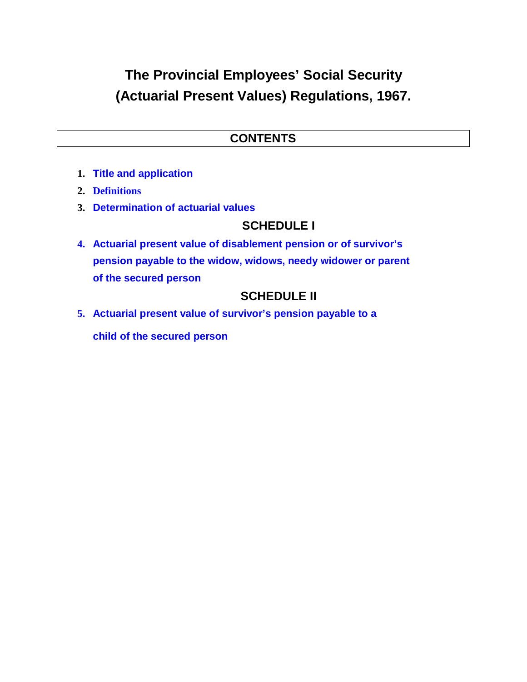# **The Provincial Employees' Social Security (Actuarial Present Values) Regulations, 1967.**

#### **CONTENTS**

- **1. Title and application**
- **2. Definitions**
- **3. Determination of actuarial values**

### **SCHEDULE I**

**4. Actuarial present value of disablement pension or of survivor's pension payable to the widow, widows, needy widower or parent of the secured person**

## **SCHEDULE II**

**5. Actuarial present value of survivor's pension payable to a child of the secured person**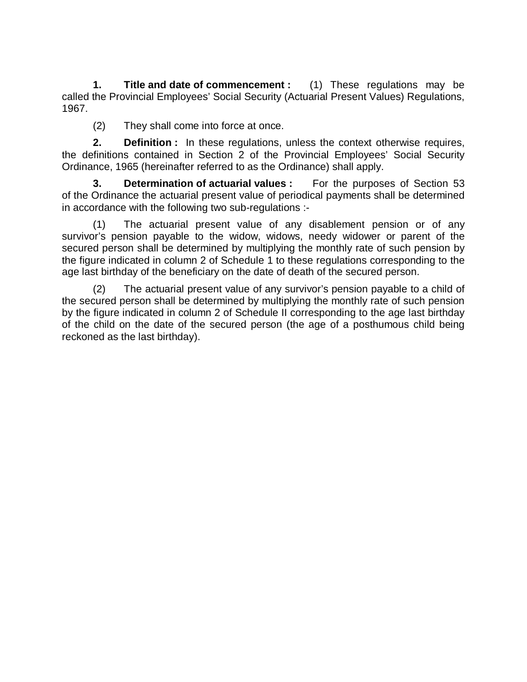**1. Title and date of commencement :** (1) These regulations may be called the Provincial Employees' Social Security (Actuarial Present Values) Regulations, 1967.

(2) They shall come into force at once.

**2. Definition :** In these regulations, unless the context otherwise requires, the definitions contained in Section 2 of the Provincial Employees' Social Security Ordinance, 1965 (hereinafter referred to as the Ordinance) shall apply.

**3. Determination of actuarial values :** For the purposes of Section 53 of the Ordinance the actuarial present value of periodical payments shall be determined in accordance with the following two sub-regulations :-

(1) The actuarial present value of any disablement pension or of any survivor's pension payable to the widow, widows, needy widower or parent of the secured person shall be determined by multiplying the monthly rate of such pension by the figure indicated in column 2 of Schedule 1 to these regulations corresponding to the age last birthday of the beneficiary on the date of death of the secured person.

(2) The actuarial present value of any survivor's pension payable to a child of the secured person shall be determined by multiplying the monthly rate of such pension by the figure indicated in column 2 of Schedule II corresponding to the age last birthday of the child on the date of the secured person (the age of a posthumous child being reckoned as the last birthday).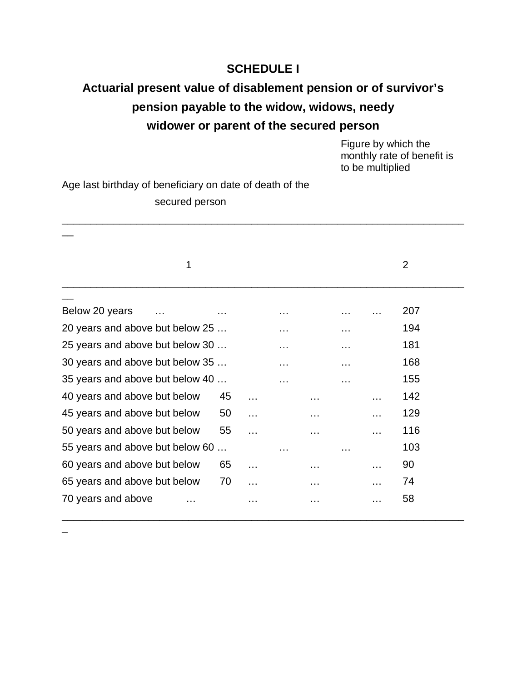#### **SCHEDULE I**

## **Actuarial present value of disablement pension or of survivor's pension payable to the widow, widows, needy widower or parent of the secured person**

\_\_\_\_\_\_\_\_\_\_\_\_\_\_\_\_\_\_\_\_\_\_\_\_\_\_\_\_\_\_\_\_\_\_\_\_\_\_\_\_\_\_\_\_\_\_\_\_\_\_\_\_\_\_\_\_\_\_\_\_\_\_\_\_\_\_\_\_\_\_

Figure by which the monthly rate of benefit is to be multiplied

Age last birthday of beneficiary on date of death of the secured person

| 1                               |           |   |          |   |          | 2   |
|---------------------------------|-----------|---|----------|---|----------|-----|
| Below 20 years                  |           |   |          |   |          | 207 |
| 20 years and above but below 25 |           | . |          | . |          | 194 |
| 25 years and above but below 30 |           | . |          | . |          | 181 |
| 30 years and above but below 35 |           | . |          | . |          | 168 |
| 35 years and above but below 40 |           | . |          | . |          | 155 |
| 40 years and above but below    | 45        |   |          |   |          | 142 |
| 45 years and above but below    | 50        |   |          |   |          | 129 |
| 50 years and above but below    | 55        |   | $\cdots$ |   | $\cdots$ | 116 |
| 55 years and above but below 60 | $\ddotsc$ | . |          | . |          | 103 |
| 60 years and above but below    | 65        |   | .        |   |          | 90  |
| 65 years and above but below    | 70        |   |          |   |          | 74  |
| 70 years and above              |           |   |          |   | .        | 58  |